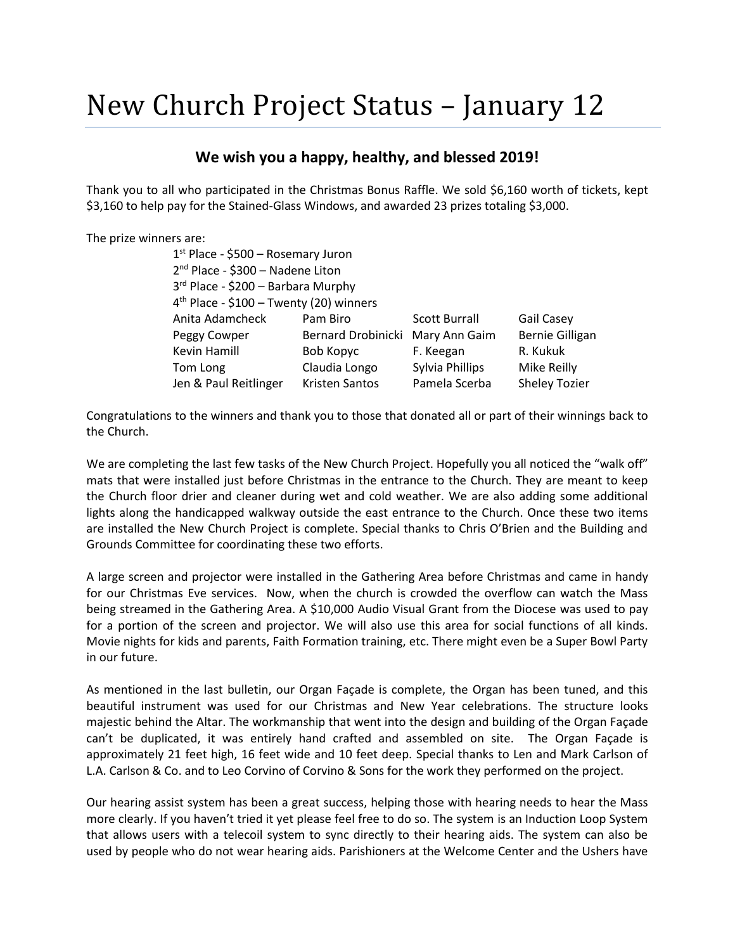## New Church Project Status – January 12

## **We wish you a happy, healthy, and blessed 2019!**

Thank you to all who participated in the Christmas Bonus Raffle. We sold \$6,160 worth of tickets, kept \$3,160 to help pay for the Stained-Glass Windows, and awarded 23 prizes totaling \$3,000.

| The prize winners are: |                                                                                                                                 |                    |                      |                        |
|------------------------|---------------------------------------------------------------------------------------------------------------------------------|--------------------|----------------------|------------------------|
|                        | $1st$ Place - \$500 – Rosemary Juron                                                                                            |                    |                      |                        |
|                        | 2 <sup>nd</sup> Place - \$300 - Nadene Liton<br>3rd Place - \$200 - Barbara Murphy<br>$4th$ Place - \$100 - Twenty (20) winners |                    |                      |                        |
|                        |                                                                                                                                 |                    |                      |                        |
|                        |                                                                                                                                 |                    |                      |                        |
|                        | Anita Adamcheck                                                                                                                 | Pam Biro           | <b>Scott Burrall</b> | <b>Gail Casey</b>      |
|                        | Peggy Cowper                                                                                                                    | Bernard Drobinicki | Mary Ann Gaim        | <b>Bernie Gilligan</b> |
|                        | Kevin Hamill                                                                                                                    | Bob Kopyc          | F. Keegan            | R. Kukuk               |
|                        | Tom Long                                                                                                                        | Claudia Longo      | Sylvia Phillips      | Mike Reilly            |
|                        | Jen & Paul Reitlinger                                                                                                           | Kristen Santos     | Pamela Scerba        | <b>Sheley Tozier</b>   |

Congratulations to the winners and thank you to those that donated all or part of their winnings back to the Church.

We are completing the last few tasks of the New Church Project. Hopefully you all noticed the "walk off" mats that were installed just before Christmas in the entrance to the Church. They are meant to keep the Church floor drier and cleaner during wet and cold weather. We are also adding some additional lights along the handicapped walkway outside the east entrance to the Church. Once these two items are installed the New Church Project is complete. Special thanks to Chris O'Brien and the Building and Grounds Committee for coordinating these two efforts.

A large screen and projector were installed in the Gathering Area before Christmas and came in handy for our Christmas Eve services. Now, when the church is crowded the overflow can watch the Mass being streamed in the Gathering Area. A \$10,000 Audio Visual Grant from the Diocese was used to pay for a portion of the screen and projector. We will also use this area for social functions of all kinds. Movie nights for kids and parents, Faith Formation training, etc. There might even be a Super Bowl Party in our future.

As mentioned in the last bulletin, our Organ Façade is complete, the Organ has been tuned, and this beautiful instrument was used for our Christmas and New Year celebrations. The structure looks majestic behind the Altar. The workmanship that went into the design and building of the Organ Façade can't be duplicated, it was entirely hand crafted and assembled on site. The Organ Façade is approximately 21 feet high, 16 feet wide and 10 feet deep. Special thanks to Len and Mark Carlson of L.A. Carlson & Co. and to Leo Corvino of Corvino & Sons for the work they performed on the project.

Our hearing assist system has been a great success, helping those with hearing needs to hear the Mass more clearly. If you haven't tried it yet please feel free to do so. The system is an Induction Loop System that allows users with a telecoil system to sync directly to their hearing aids. The system can also be used by people who do not wear hearing aids. Parishioners at the Welcome Center and the Ushers have